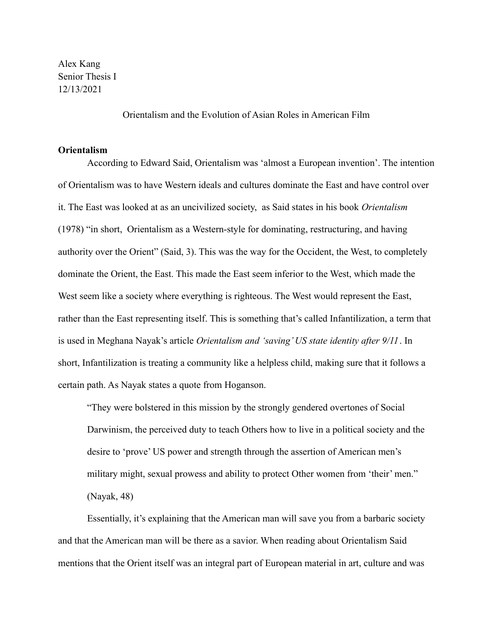Alex Kang Senior Thesis I 12/13/2021

Orientalism and the Evolution of Asian Roles in American Film

## **Orientalism**

According to Edward Said, Orientalism was 'almost a European invention'. The intention of Orientalism was to have Western ideals and cultures dominate the East and have control over it. The East was looked at as an uncivilized society, as Said states in his book *Orientalism* (1978) "in short, Orientalism as a Western-style for dominating, restructuring, and having authority over the Orient" (Said, 3). This was the way for the Occident, the West, to completely dominate the Orient, the East. This made the East seem inferior to the West, which made the West seem like a society where everything is righteous. The West would represent the East, rather than the East representing itself. This is something that's called Infantilization, a term that is used in Meghana Nayak's article *Orientalism and 'saving' US state identity after 9/11*. In short, Infantilization is treating a community like a helpless child, making sure that it follows a certain path. As Nayak states a quote from Hoganson.

"They were bolstered in this mission by the strongly gendered overtones of Social Darwinism, the perceived duty to teach Others how to live in a political society and the desire to 'prove' US power and strength through the assertion of American men's military might, sexual prowess and ability to protect Other women from 'their' men." (Nayak, 48)

Essentially, it's explaining that the American man will save you from a barbaric society and that the American man will be there as a savior. When reading about Orientalism Said mentions that the Orient itself was an integral part of European material in art, culture and was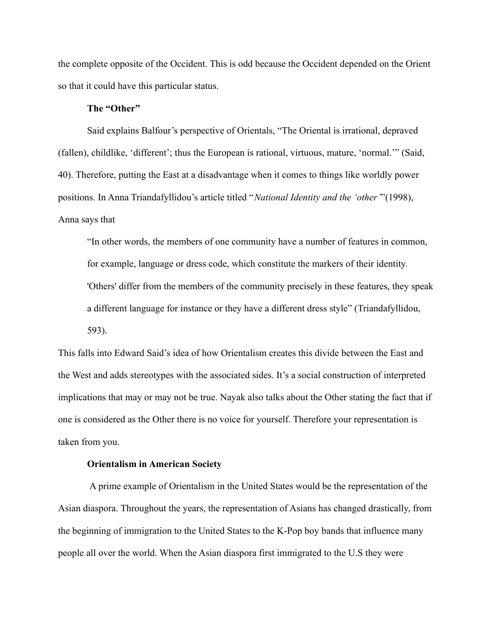the complete opposite of the Occident. This is odd because the Occident depended on the Orient so that it could have this particular status.

## **The "Other"**

Said explains Balfour's perspective of Orientals, "The Oriental is irrational, depraved (fallen), childlike, 'different'; thus the European is rational, virtuous, mature, 'normal.'" (Said, 40). Therefore, putting the East at a disadvantage when it comes to things like worldly power positions. In Anna Triandafyllidou's article titled "*National Identity and the 'other'*"(1998), Anna says that

"In other words, the members of one community have a number of features in common, for example, language or dress code, which constitute the markers of their identity. 'Others' differ from the members of the community precisely in these features, they speak a different language for instance or they have a different dress style" (Triandafyllidou, 593).

This falls into Edward Said's idea of how Orientalism creates this divide between the East and the West and adds stereotypes with the associated sides. It's a social construction of interpreted implications that may or may not be true. Nayak also talks about the Other stating the fact that if one is considered as the Other there is no voice for yourself. Therefore your representation is taken from you.

# **Orientalism in American Society**

A prime example of Orientalism in the United States would be the representation of the Asian diaspora. Throughout the years, the representation of Asians has changed drastically, from the beginning of immigration to the United States to the K-Pop boy bands that influence many people all over the world. When the Asian diaspora first immigrated to the U.S they were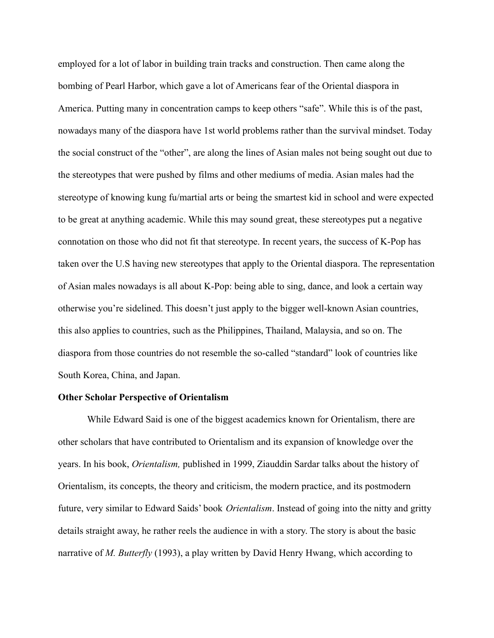employed for a lot of labor in building train tracks and construction. Then came along the bombing of Pearl Harbor, which gave a lot of Americans fear of the Oriental diaspora in America. Putting many in concentration camps to keep others "safe". While this is of the past, nowadays many of the diaspora have 1st world problems rather than the survival mindset. Today the social construct of the "other", are along the lines of Asian males not being sought out due to the stereotypes that were pushed by films and other mediums of media. Asian males had the stereotype of knowing kung fu/martial arts or being the smartest kid in school and were expected to be great at anything academic. While this may sound great, these stereotypes put a negative connotation on those who did not fit that stereotype. In recent years, the success of K-Pop has taken over the U.S having new stereotypes that apply to the Oriental diaspora. The representation of Asian males nowadays is all about K-Pop: being able to sing, dance, and look a certain way otherwise you're sidelined. This doesn't just apply to the bigger well-known Asian countries, this also applies to countries, such as the Philippines, Thailand, Malaysia, and so on. The diaspora from those countries do not resemble the so-called "standard" look of countries like South Korea, China, and Japan.

### **Other Scholar Perspective of Orientalism**

While Edward Said is one of the biggest academics known for Orientalism, there are other scholars that have contributed to Orientalism and its expansion of knowledge over the years. In his book, *Orientalism,* published in 1999, Ziauddin Sardar talks about the history of Orientalism, its concepts, the theory and criticism, the modern practice, and its postmodern future, very similar to Edward Saids' book *Orientalism*. Instead of going into the nitty and gritty details straight away, he rather reels the audience in with a story. The story is about the basic narrative of *M. Butterfly* (1993), a play written by David Henry Hwang, which according to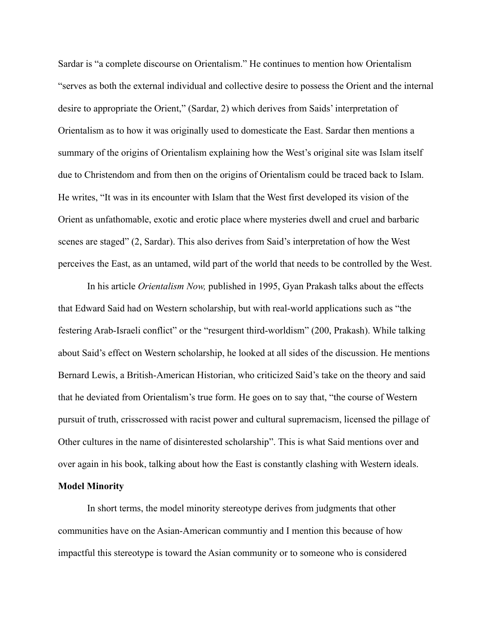Sardar is "a complete discourse on Orientalism." He continues to mention how Orientalism "serves as both the external individual and collective desire to possess the Orient and the internal desire to appropriate the Orient," (Sardar, 2) which derives from Saids' interpretation of Orientalism as to how it was originally used to domesticate the East. Sardar then mentions a summary of the origins of Orientalism explaining how the West's original site was Islam itself due to Christendom and from then on the origins of Orientalism could be traced back to Islam. He writes, "It was in its encounter with Islam that the West first developed its vision of the Orient as unfathomable, exotic and erotic place where mysteries dwell and cruel and barbaric scenes are staged" (2, Sardar). This also derives from Said's interpretation of how the West perceives the East, as an untamed, wild part of the world that needs to be controlled by the West.

In his article *Orientalism Now,* published in 1995, Gyan Prakash talks about the effects that Edward Said had on Western scholarship, but with real-world applications such as "the festering Arab-Israeli conflict" or the "resurgent third-worldism" (200, Prakash). While talking about Said's effect on Western scholarship, he looked at all sides of the discussion. He mentions Bernard Lewis, a British-American Historian, who criticized Said's take on the theory and said that he deviated from Orientalism's true form. He goes on to say that, "the course of Western pursuit of truth, crisscrossed with racist power and cultural supremacism, licensed the pillage of Other cultures in the name of disinterested scholarship". This is what Said mentions over and over again in his book, talking about how the East is constantly clashing with Western ideals.

# **Model Minority**

In short terms, the model minority stereotype derives from judgments that other communities have on the Asian-American communtiy and I mention this because of how impactful this stereotype is toward the Asian community or to someone who is considered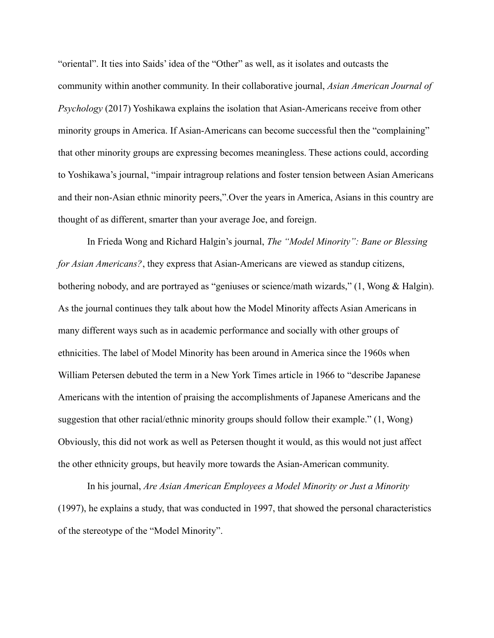"oriental". It ties into Saids' idea of the "Other" as well, as it isolates and outcasts the community within another community. In their collaborative journal, *Asian American Journal of Psychology* (2017) Yoshikawa explains the isolation that Asian-Americans receive from other minority groups in America. If Asian-Americans can become successful then the "complaining" that other minority groups are expressing becomes meaningless. These actions could, according to Yoshikawa's journal, "impair intragroup relations and foster tension between Asian Americans and their non-Asian ethnic minority peers,".Over the years in America, Asians in this country are thought of as different, smarter than your average Joe, and foreign.

In Frieda Wong and Richard Halgin's journal, *The "Model Minority": Bane or Blessing for Asian Americans?*, they express that Asian-Americans are viewed as standup citizens, bothering nobody, and are portrayed as "geniuses or science/math wizards," (1, Wong & Halgin). As the journal continues they talk about how the Model Minority affects Asian Americans in many different ways such as in academic performance and socially with other groups of ethnicities. The label of Model Minority has been around in America since the 1960s when William Petersen debuted the term in a New York Times article in 1966 to "describe Japanese Americans with the intention of praising the accomplishments of Japanese Americans and the suggestion that other racial/ethnic minority groups should follow their example." (1, Wong) Obviously, this did not work as well as Petersen thought it would, as this would not just affect the other ethnicity groups, but heavily more towards the Asian-American community.

In his journal, *Are Asian American Employees a Model Minority or Just a Minority* (1997), he explains a study, that was conducted in 1997, that showed the personal characteristics of the stereotype of the "Model Minority".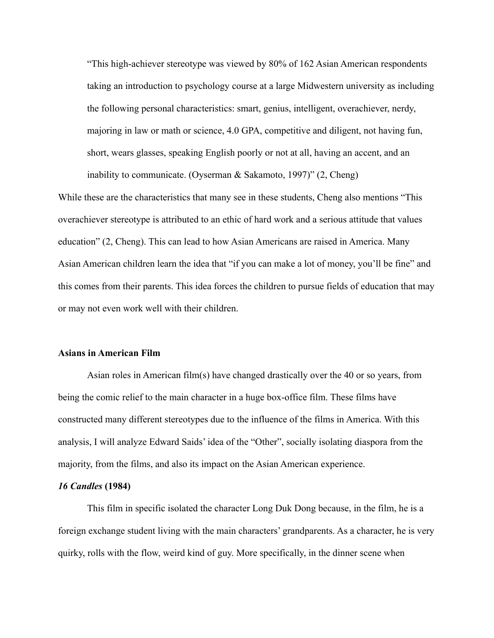"This high-achiever stereotype was viewed by 80% of 162 Asian American respondents taking an introduction to psychology course at a large Midwestern university as including the following personal characteristics: smart, genius, intelligent, overachiever, nerdy, majoring in law or math or science, 4.0 GPA, competitive and diligent, not having fun, short, wears glasses, speaking English poorly or not at all, having an accent, and an inability to communicate. (Oyserman & Sakamoto, 1997)" (2, Cheng)

While these are the characteristics that many see in these students, Cheng also mentions "This overachiever stereotype is attributed to an ethic of hard work and a serious attitude that values education" (2, Cheng). This can lead to how Asian Americans are raised in America. Many Asian American children learn the idea that "if you can make a lot of money, you'll be fine" and this comes from their parents. This idea forces the children to pursue fields of education that may or may not even work well with their children.

# **Asians in American Film**

Asian roles in American film(s) have changed drastically over the 40 or so years, from being the comic relief to the main character in a huge box-office film. These films have constructed many different stereotypes due to the influence of the films in America. With this analysis, I will analyze Edward Saids' idea of the "Other", socially isolating diaspora from the majority, from the films, and also its impact on the Asian American experience.

#### *16 Candles* **(1984)**

This film in specific isolated the character Long Duk Dong because, in the film, he is a foreign exchange student living with the main characters' grandparents. As a character, he is very quirky, rolls with the flow, weird kind of guy. More specifically, in the dinner scene when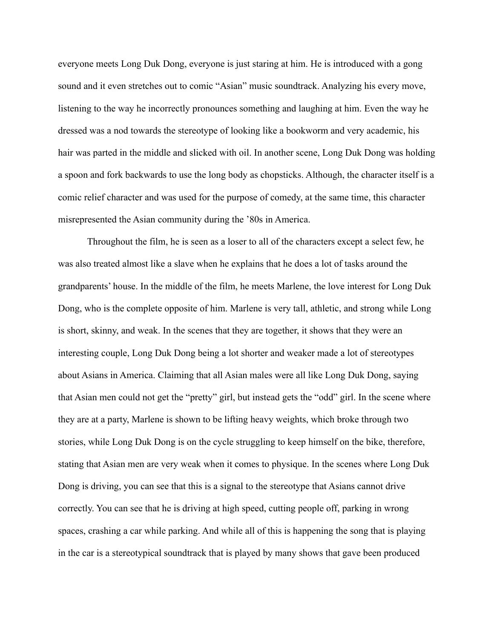everyone meets Long Duk Dong, everyone is just staring at him. He is introduced with a gong sound and it even stretches out to comic "Asian" music soundtrack. Analyzing his every move, listening to the way he incorrectly pronounces something and laughing at him. Even the way he dressed was a nod towards the stereotype of looking like a bookworm and very academic, his hair was parted in the middle and slicked with oil. In another scene, Long Duk Dong was holding a spoon and fork backwards to use the long body as chopsticks. Although, the character itself is a comic relief character and was used for the purpose of comedy, at the same time, this character misrepresented the Asian community during the '80s in America.

Throughout the film, he is seen as a loser to all of the characters except a select few, he was also treated almost like a slave when he explains that he does a lot of tasks around the grandparents' house. In the middle of the film, he meets Marlene, the love interest for Long Duk Dong, who is the complete opposite of him. Marlene is very tall, athletic, and strong while Long is short, skinny, and weak. In the scenes that they are together, it shows that they were an interesting couple, Long Duk Dong being a lot shorter and weaker made a lot of stereotypes about Asians in America. Claiming that all Asian males were all like Long Duk Dong, saying that Asian men could not get the "pretty" girl, but instead gets the "odd" girl. In the scene where they are at a party, Marlene is shown to be lifting heavy weights, which broke through two stories, while Long Duk Dong is on the cycle struggling to keep himself on the bike, therefore, stating that Asian men are very weak when it comes to physique. In the scenes where Long Duk Dong is driving, you can see that this is a signal to the stereotype that Asians cannot drive correctly. You can see that he is driving at high speed, cutting people off, parking in wrong spaces, crashing a car while parking. And while all of this is happening the song that is playing in the car is a stereotypical soundtrack that is played by many shows that gave been produced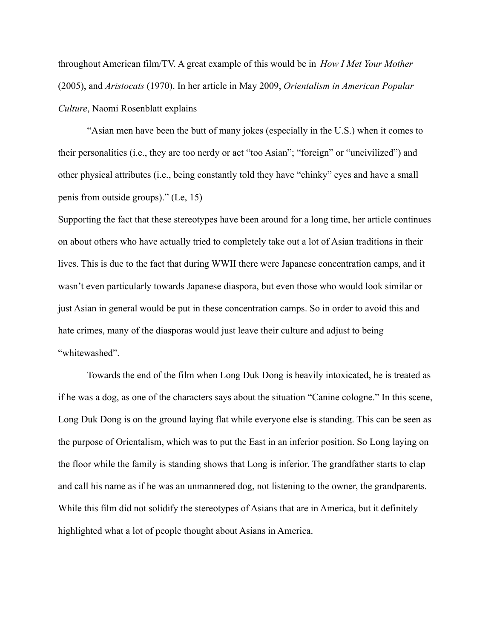throughout American film/TV. A great example of this would be in *How I Met Your Mother* (2005), and *Aristocats* (1970). In her article in May 2009, *Orientalism in American Popular Culture*, Naomi Rosenblatt explains

"Asian men have been the butt of many jokes (especially in the U.S.) when it comes to their personalities (i.e., they are too nerdy or act "too Asian"; "foreign" or "uncivilized") and other physical attributes (i.e., being constantly told they have "chinky" eyes and have a small penis from outside groups)." (Le, 15)

Supporting the fact that these stereotypes have been around for a long time, her article continues on about others who have actually tried to completely take out a lot of Asian traditions in their lives. This is due to the fact that during WWII there were Japanese concentration camps, and it wasn't even particularly towards Japanese diaspora, but even those who would look similar or just Asian in general would be put in these concentration camps. So in order to avoid this and hate crimes, many of the diasporas would just leave their culture and adjust to being "whitewashed".

Towards the end of the film when Long Duk Dong is heavily intoxicated, he is treated as if he was a dog, as one of the characters says about the situation "Canine cologne." In this scene, Long Duk Dong is on the ground laying flat while everyone else is standing. This can be seen as the purpose of Orientalism, which was to put the East in an inferior position. So Long laying on the floor while the family is standing shows that Long is inferior. The grandfather starts to clap and call his name as if he was an unmannered dog, not listening to the owner, the grandparents. While this film did not solidify the stereotypes of Asians that are in America, but it definitely highlighted what a lot of people thought about Asians in America.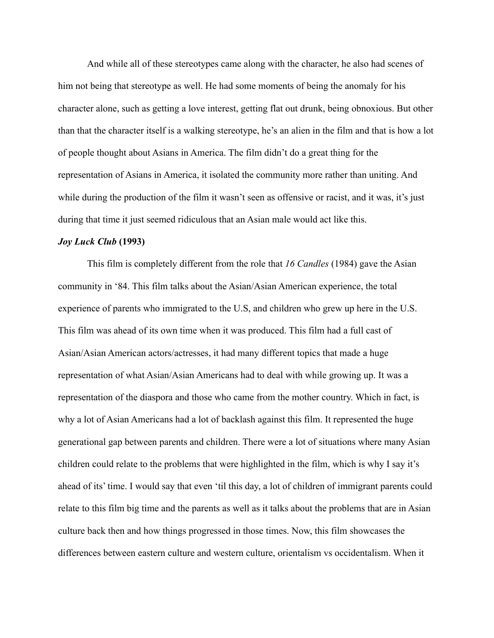And while all of these stereotypes came along with the character, he also had scenes of him not being that stereotype as well. He had some moments of being the anomaly for his character alone, such as getting a love interest, getting flat out drunk, being obnoxious. But other than that the character itself is a walking stereotype, he's an alien in the film and that is how a lot of people thought about Asians in America. The film didn't do a great thing for the representation of Asians in America, it isolated the community more rather than uniting. And while during the production of the film it wasn't seen as offensive or racist, and it was, it's just during that time it just seemed ridiculous that an Asian male would act like this.

#### *Joy Luck Club* **(1993)**

This film is completely different from the role that *16 Candles* (1984) gave the Asian community in '84. This film talks about the Asian/Asian American experience, the total experience of parents who immigrated to the U.S, and children who grew up here in the U.S. This film was ahead of its own time when it was produced. This film had a full cast of Asian/Asian American actors/actresses, it had many different topics that made a huge representation of what Asian/Asian Americans had to deal with while growing up. It was a representation of the diaspora and those who came from the mother country. Which in fact, is why a lot of Asian Americans had a lot of backlash against this film. It represented the huge generational gap between parents and children. There were a lot of situations where many Asian children could relate to the problems that were highlighted in the film, which is why I say it's ahead of its' time. I would say that even 'til this day, a lot of children of immigrant parents could relate to this film big time and the parents as well as it talks about the problems that are in Asian culture back then and how things progressed in those times. Now, this film showcases the differences between eastern culture and western culture, orientalism vs occidentalism. When it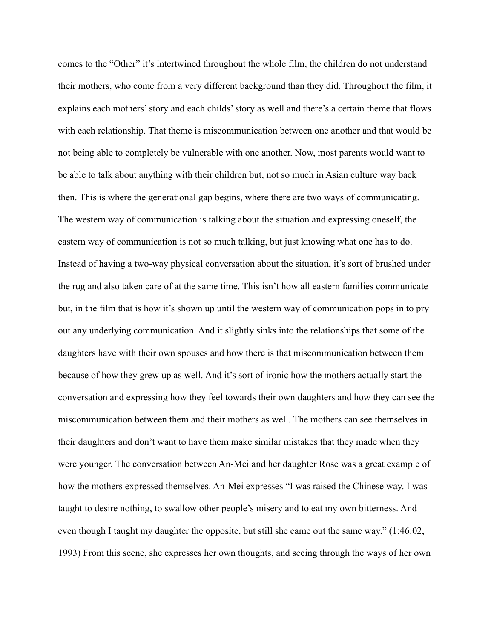comes to the "Other" it's intertwined throughout the whole film, the children do not understand their mothers, who come from a very different background than they did. Throughout the film, it explains each mothers' story and each childs' story as well and there's a certain theme that flows with each relationship. That theme is miscommunication between one another and that would be not being able to completely be vulnerable with one another. Now, most parents would want to be able to talk about anything with their children but, not so much in Asian culture way back then. This is where the generational gap begins, where there are two ways of communicating. The western way of communication is talking about the situation and expressing oneself, the eastern way of communication is not so much talking, but just knowing what one has to do. Instead of having a two-way physical conversation about the situation, it's sort of brushed under the rug and also taken care of at the same time. This isn't how all eastern families communicate but, in the film that is how it's shown up until the western way of communication pops in to pry out any underlying communication. And it slightly sinks into the relationships that some of the daughters have with their own spouses and how there is that miscommunication between them because of how they grew up as well. And it's sort of ironic how the mothers actually start the conversation and expressing how they feel towards their own daughters and how they can see the miscommunication between them and their mothers as well. The mothers can see themselves in their daughters and don't want to have them make similar mistakes that they made when they were younger. The conversation between An-Mei and her daughter Rose was a great example of how the mothers expressed themselves. An-Mei expresses "I was raised the Chinese way. I was taught to desire nothing, to swallow other people's misery and to eat my own bitterness. And even though I taught my daughter the opposite, but still she came out the same way." (1:46:02, 1993) From this scene, she expresses her own thoughts, and seeing through the ways of her own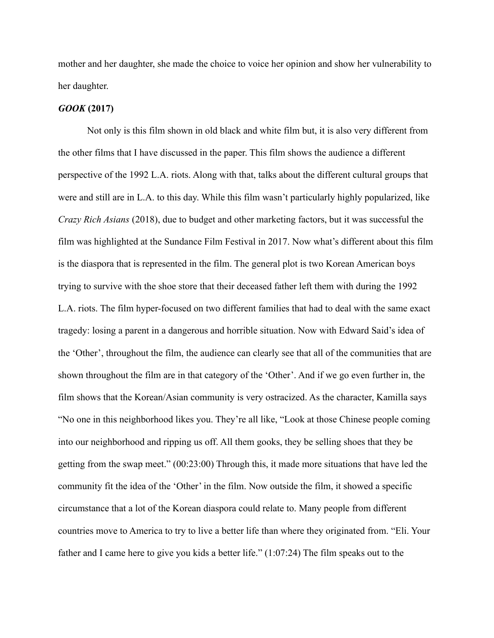mother and her daughter, she made the choice to voice her opinion and show her vulnerability to her daughter.

### *GOOK* **(2017)**

Not only is this film shown in old black and white film but, it is also very different from the other films that I have discussed in the paper. This film shows the audience a different perspective of the 1992 L.A. riots. Along with that, talks about the different cultural groups that were and still are in L.A. to this day. While this film wasn't particularly highly popularized, like *Crazy Rich Asians* (2018), due to budget and other marketing factors, but it was successful the film was highlighted at the Sundance Film Festival in 2017. Now what's different about this film is the diaspora that is represented in the film. The general plot is two Korean American boys trying to survive with the shoe store that their deceased father left them with during the 1992 L.A. riots. The film hyper-focused on two different families that had to deal with the same exact tragedy: losing a parent in a dangerous and horrible situation. Now with Edward Said's idea of the 'Other', throughout the film, the audience can clearly see that all of the communities that are shown throughout the film are in that category of the 'Other'. And if we go even further in, the film shows that the Korean/Asian community is very ostracized. As the character, Kamilla says "No one in this neighborhood likes you. They're all like, "Look at those Chinese people coming into our neighborhood and ripping us off. All them gooks, they be selling shoes that they be getting from the swap meet." (00:23:00) Through this, it made more situations that have led the community fit the idea of the 'Other' in the film. Now outside the film, it showed a specific circumstance that a lot of the Korean diaspora could relate to. Many people from different countries move to America to try to live a better life than where they originated from. "Eli. Your father and I came here to give you kids a better life." (1:07:24) The film speaks out to the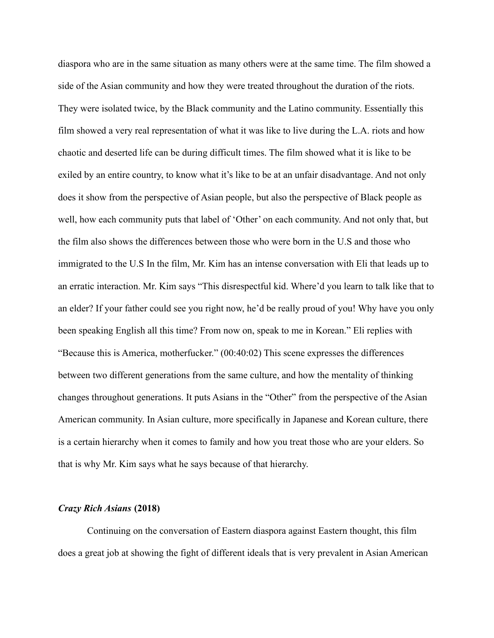diaspora who are in the same situation as many others were at the same time. The film showed a side of the Asian community and how they were treated throughout the duration of the riots. They were isolated twice, by the Black community and the Latino community. Essentially this film showed a very real representation of what it was like to live during the L.A. riots and how chaotic and deserted life can be during difficult times. The film showed what it is like to be exiled by an entire country, to know what it's like to be at an unfair disadvantage. And not only does it show from the perspective of Asian people, but also the perspective of Black people as well, how each community puts that label of 'Other' on each community. And not only that, but the film also shows the differences between those who were born in the U.S and those who immigrated to the U.S In the film, Mr. Kim has an intense conversation with Eli that leads up to an erratic interaction. Mr. Kim says "This disrespectful kid. Where'd you learn to talk like that to an elder? If your father could see you right now, he'd be really proud of you! Why have you only been speaking English all this time? From now on, speak to me in Korean." Eli replies with "Because this is America, motherfucker." (00:40:02) This scene expresses the differences between two different generations from the same culture, and how the mentality of thinking changes throughout generations. It puts Asians in the "Other" from the perspective of the Asian American community. In Asian culture, more specifically in Japanese and Korean culture, there is a certain hierarchy when it comes to family and how you treat those who are your elders. So that is why Mr. Kim says what he says because of that hierarchy.

#### *Crazy Rich Asians* **(2018)**

Continuing on the conversation of Eastern diaspora against Eastern thought, this film does a great job at showing the fight of different ideals that is very prevalent in Asian American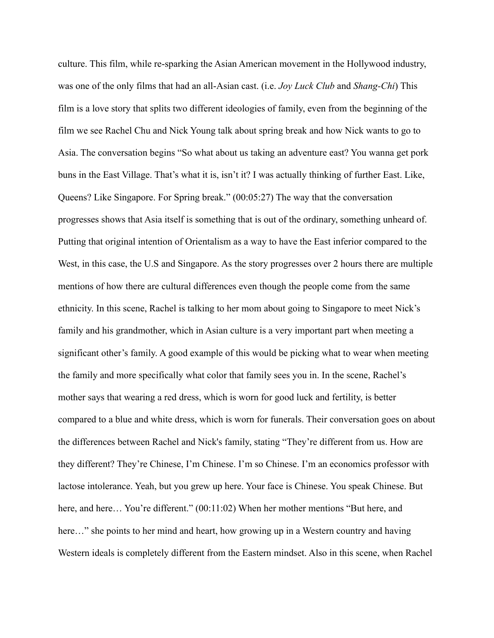culture. This film, while re-sparking the Asian American movement in the Hollywood industry, was one of the only films that had an all-Asian cast. (i.e. *Joy Luck Club* and *Shang-Chi*) This film is a love story that splits two different ideologies of family, even from the beginning of the film we see Rachel Chu and Nick Young talk about spring break and how Nick wants to go to Asia. The conversation begins "So what about us taking an adventure east? You wanna get pork buns in the East Village. That's what it is, isn't it? I was actually thinking of further East. Like, Queens? Like Singapore. For Spring break." (00:05:27) The way that the conversation progresses shows that Asia itself is something that is out of the ordinary, something unheard of. Putting that original intention of Orientalism as a way to have the East inferior compared to the West, in this case, the U.S and Singapore. As the story progresses over 2 hours there are multiple mentions of how there are cultural differences even though the people come from the same ethnicity. In this scene, Rachel is talking to her mom about going to Singapore to meet Nick's family and his grandmother, which in Asian culture is a very important part when meeting a significant other's family. A good example of this would be picking what to wear when meeting the family and more specifically what color that family sees you in. In the scene, Rachel's mother says that wearing a red dress, which is worn for good luck and fertility, is better compared to a blue and white dress, which is worn for funerals. Their conversation goes on about the differences between Rachel and Nick's family, stating "They're different from us. How are they different? They're Chinese, I'm Chinese. I'm so Chinese. I'm an economics professor with lactose intolerance. Yeah, but you grew up here. Your face is Chinese. You speak Chinese. But here, and here... You're different." (00:11:02) When her mother mentions "But here, and here..." she points to her mind and heart, how growing up in a Western country and having Western ideals is completely different from the Eastern mindset. Also in this scene, when Rachel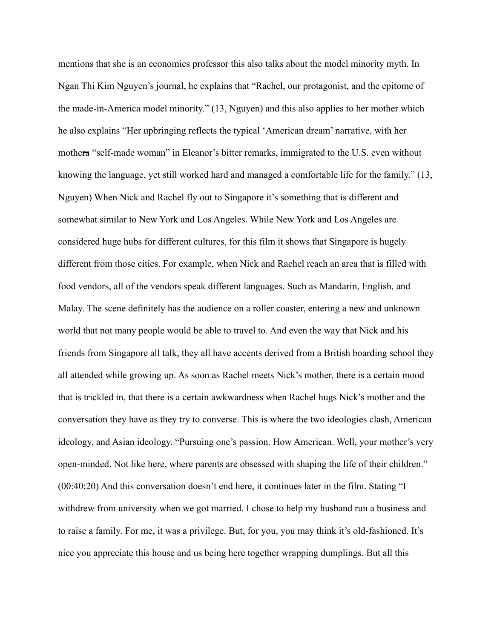mentions that she is an economics professor this also talks about the model minority myth. In Ngan Thi Kim Nguyen's journal, he explains that "Rachel, our protagonist, and the epitome of the made-in-America model minority." (13, Nguyen) and this also applies to her mother which he also explains "Her upbringing reflects the typical 'American dream' narrative, with her mothera "self-made woman" in Eleanor's bitter remarks, immigrated to the U.S. even without knowing the language, yet still worked hard and managed a comfortable life for the family." (13, Nguyen) When Nick and Rachel fly out to Singapore it's something that is different and somewhat similar to New York and Los Angeles. While New York and Los Angeles are considered huge hubs for different cultures, for this film it shows that Singapore is hugely different from those cities. For example, when Nick and Rachel reach an area that is filled with food vendors, all of the vendors speak different languages. Such as Mandarin, English, and Malay. The scene definitely has the audience on a roller coaster, entering a new and unknown world that not many people would be able to travel to. And even the way that Nick and his friends from Singapore all talk, they all have accents derived from a British boarding school they all attended while growing up. As soon as Rachel meets Nick's mother, there is a certain mood that is trickled in, that there is a certain awkwardness when Rachel hugs Nick's mother and the conversation they have as they try to converse. This is where the two ideologies clash, American ideology, and Asian ideology. "Pursuing one's passion. How American. Well, your mother's very open-minded. Not like here, where parents are obsessed with shaping the life of their children." (00:40:20) And this conversation doesn't end here, it continues later in the film. Stating "I withdrew from university when we got married. I chose to help my husband run a business and to raise a family. For me, it was a privilege. But, for you, you may think it's old-fashioned. It's nice you appreciate this house and us being here together wrapping dumplings. But all this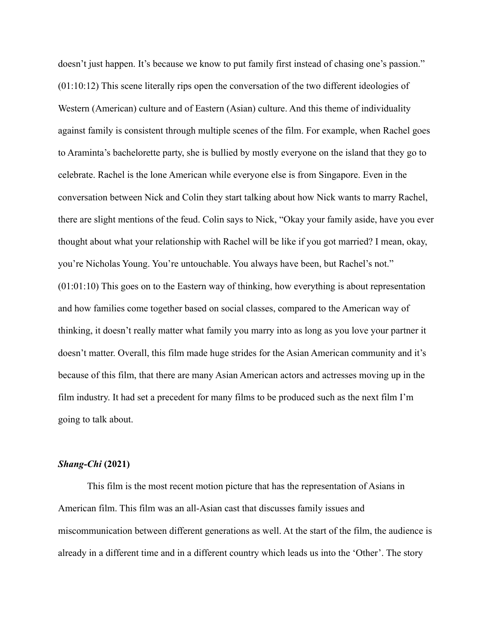doesn't just happen. It's because we know to put family first instead of chasing one's passion." (01:10:12) This scene literally rips open the conversation of the two different ideologies of Western (American) culture and of Eastern (Asian) culture. And this theme of individuality against family is consistent through multiple scenes of the film. For example, when Rachel goes to Araminta's bachelorette party, she is bullied by mostly everyone on the island that they go to celebrate. Rachel is the lone American while everyone else is from Singapore. Even in the conversation between Nick and Colin they start talking about how Nick wants to marry Rachel, there are slight mentions of the feud. Colin says to Nick, "Okay your family aside, have you ever thought about what your relationship with Rachel will be like if you got married? I mean, okay, you're Nicholas Young. You're untouchable. You always have been, but Rachel's not." (01:01:10) This goes on to the Eastern way of thinking, how everything is about representation and how families come together based on social classes, compared to the American way of thinking, it doesn't really matter what family you marry into as long as you love your partner it doesn't matter. Overall, this film made huge strides for the Asian American community and it's because of this film, that there are many Asian American actors and actresses moving up in the film industry. It had set a precedent for many films to be produced such as the next film I'm going to talk about.

#### *Shang-Chi* **(2021)**

This film is the most recent motion picture that has the representation of Asians in American film. This film was an all-Asian cast that discusses family issues and miscommunication between different generations as well. At the start of the film, the audience is already in a different time and in a different country which leads us into the 'Other'. The story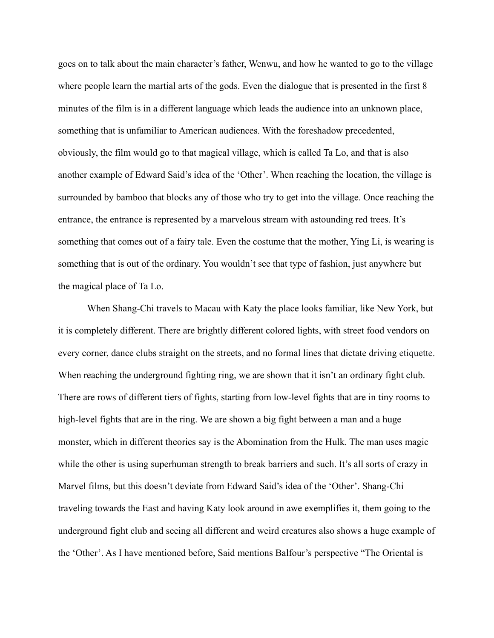goes on to talk about the main character's father, Wenwu, and how he wanted to go to the village where people learn the martial arts of the gods. Even the dialogue that is presented in the first 8 minutes of the film is in a different language which leads the audience into an unknown place, something that is unfamiliar to American audiences. With the foreshadow precedented, obviously, the film would go to that magical village, which is called Ta Lo, and that is also another example of Edward Said's idea of the 'Other'. When reaching the location, the village is surrounded by bamboo that blocks any of those who try to get into the village. Once reaching the entrance, the entrance is represented by a marvelous stream with astounding red trees. It's something that comes out of a fairy tale. Even the costume that the mother, Ying Li, is wearing is something that is out of the ordinary. You wouldn't see that type of fashion, just anywhere but the magical place of Ta Lo.

When Shang-Chi travels to Macau with Katy the place looks familiar, like New York, but it is completely different. There are brightly different colored lights, with street food vendors on every corner, dance clubs straight on the streets, and no formal lines that dictate driving etiquette. When reaching the underground fighting ring, we are shown that it isn't an ordinary fight club. There are rows of different tiers of fights, starting from low-level fights that are in tiny rooms to high-level fights that are in the ring. We are shown a big fight between a man and a huge monster, which in different theories say is the Abomination from the Hulk. The man uses magic while the other is using superhuman strength to break barriers and such. It's all sorts of crazy in Marvel films, but this doesn't deviate from Edward Said's idea of the 'Other'. Shang-Chi traveling towards the East and having Katy look around in awe exemplifies it, them going to the underground fight club and seeing all different and weird creatures also shows a huge example of the 'Other'. As I have mentioned before, Said mentions Balfour's perspective "The Oriental is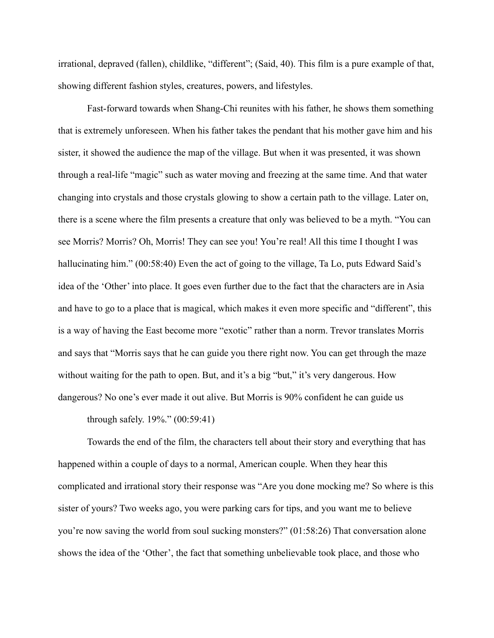irrational, depraved (fallen), childlike, "different"; (Said, 40). This film is a pure example of that, showing different fashion styles, creatures, powers, and lifestyles.

Fast-forward towards when Shang-Chi reunites with his father, he shows them something that is extremely unforeseen. When his father takes the pendant that his mother gave him and his sister, it showed the audience the map of the village. But when it was presented, it was shown through a real-life "magic" such as water moving and freezing at the same time. And that water changing into crystals and those crystals glowing to show a certain path to the village. Later on, there is a scene where the film presents a creature that only was believed to be a myth. "You can see Morris? Morris? Oh, Morris! They can see you! You're real! All this time I thought I was hallucinating him." (00:58:40) Even the act of going to the village, Ta Lo, puts Edward Said's idea of the 'Other' into place. It goes even further due to the fact that the characters are in Asia and have to go to a place that is magical, which makes it even more specific and "different", this is a way of having the East become more "exotic" rather than a norm. Trevor translates Morris and says that "Morris says that he can guide you there right now. You can get through the maze without waiting for the path to open. But, and it's a big "but," it's very dangerous. How dangerous? No one's ever made it out alive. But Morris is 90% confident he can guide us

through safely. 19%." (00:59:41)

Towards the end of the film, the characters tell about their story and everything that has happened within a couple of days to a normal, American couple. When they hear this complicated and irrational story their response was "Are you done mocking me? So where is this sister of yours? Two weeks ago, you were parking cars for tips, and you want me to believe you're now saving the world from soul sucking monsters?" (01:58:26) That conversation alone shows the idea of the 'Other', the fact that something unbelievable took place, and those who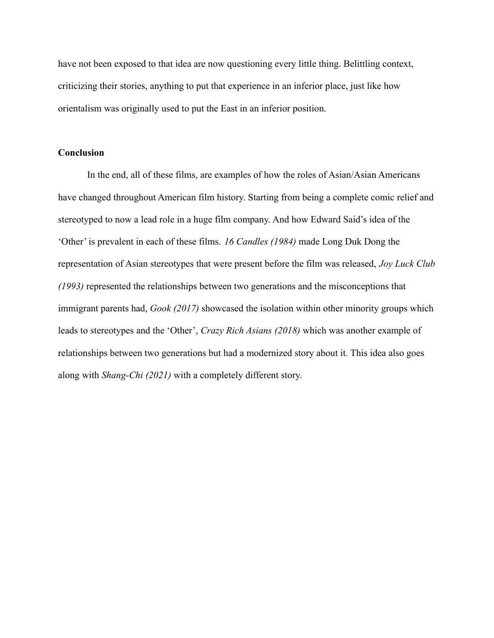have not been exposed to that idea are now questioning every little thing. Belittling context, criticizing their stories, anything to put that experience in an inferior place, just like how orientalism was originally used to put the East in an inferior position.

# **Conclusion**

In the end, all of these films, are examples of how the roles of Asian/Asian Americans have changed throughout American film history. Starting from being a complete comic relief and stereotyped to now a lead role in a huge film company. And how Edward Said's idea of the 'Other' is prevalent in each of these films. *16 Candles (1984)* made Long Duk Dong the representation of Asian stereotypes that were present before the film was released, *Joy Luck Club (1993)* represented the relationships between two generations and the misconceptions that immigrant parents had, *Gook (2017)* showcased the isolation within other minority groups which leads to stereotypes and the 'Other', *Crazy Rich Asians (2018)* which was another example of relationships between two generations but had a modernized story about it. This idea also goes along with *Shang-Chi (2021)* with a completely different story.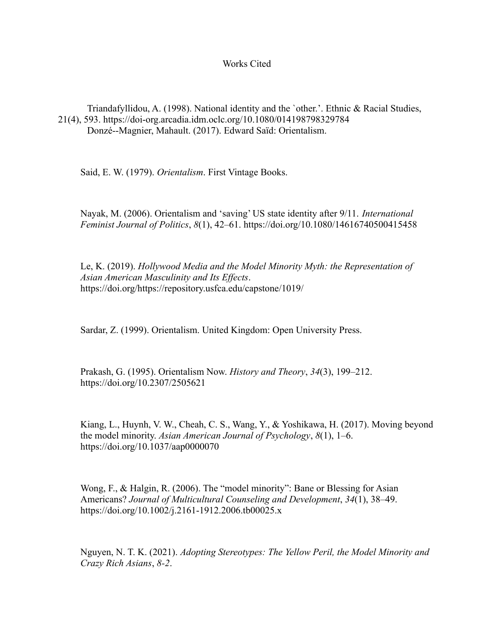# Works Cited

Triandafyllidou, A. (1998). National identity and the `other.'. Ethnic & Racial Studies, 21(4), 593. https://doi-org.arcadia.idm.oclc.org/10.1080/014198798329784 Donzé--Magnier, Mahault. (2017). Edward Saïd: Orientalism.

Said, E. W. (1979). *Orientalism*. First Vintage Books.

Nayak, M. (2006). Orientalism and 'saving' US state identity after 9/11. *International Feminist Journal of Politics*, *8*(1), 42–61. https://doi.org/10.1080/14616740500415458

Le, K. (2019). *Hollywood Media and the Model Minority Myth: the Representation of Asian American Masculinity and Its Effects*. https://doi.org/https://repository.usfca.edu/capstone/1019/

Sardar, Z. (1999). Orientalism. United Kingdom: Open University Press.

Prakash, G. (1995). Orientalism Now. *History and Theory*, *34*(3), 199–212. https://doi.org/10.2307/2505621

Kiang, L., Huynh, V. W., Cheah, C. S., Wang, Y., & Yoshikawa, H. (2017). Moving beyond the model minority. *Asian American Journal of Psychology*, *8*(1), 1–6. https://doi.org/10.1037/aap0000070

Wong, F., & Halgin, R. (2006). The "model minority": Bane or Blessing for Asian Americans? *Journal of Multicultural Counseling and Development*, *34*(1), 38–49. https://doi.org/10.1002/j.2161-1912.2006.tb00025.x

Nguyen, N. T. K. (2021). *Adopting Stereotypes: The Yellow Peril, the Model Minority and Crazy Rich Asians*, *8-2*.